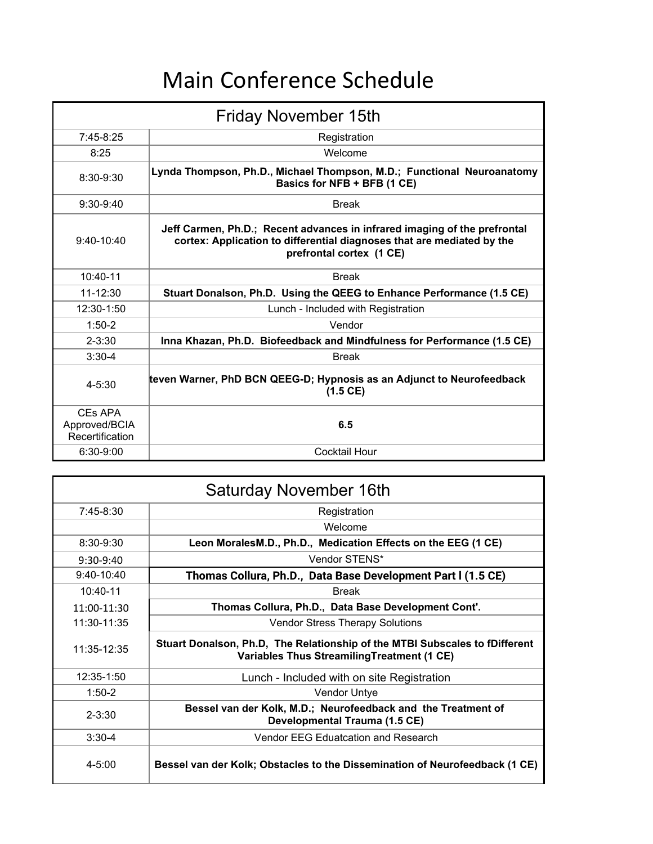## Main Conference Schedule

| <b>Friday November 15th</b>                 |                                                                                                                                                                                 |  |
|---------------------------------------------|---------------------------------------------------------------------------------------------------------------------------------------------------------------------------------|--|
| $7:45-8:25$                                 | Registration                                                                                                                                                                    |  |
| 8:25                                        | Welcome                                                                                                                                                                         |  |
| 8:30-9:30                                   | Lynda Thompson, Ph.D., Michael Thompson, M.D.; Functional Neuroanatomy<br>Basics for NFB + BFB (1 CE)                                                                           |  |
| $9:30-9:40$                                 | <b>Break</b>                                                                                                                                                                    |  |
| $9:40-10:40$                                | Jeff Carmen, Ph.D.; Recent advances in infrared imaging of the prefrontal<br>cortex: Application to differential diagnoses that are mediated by the<br>prefrontal cortex (1 CE) |  |
| $10:40-11$                                  | <b>Break</b>                                                                                                                                                                    |  |
| 11-12:30                                    | Stuart Donalson, Ph.D. Using the QEEG to Enhance Performance (1.5 CE)                                                                                                           |  |
| 12:30-1:50                                  | Lunch - Included with Registration                                                                                                                                              |  |
| $1:50-2$                                    | Vendor                                                                                                                                                                          |  |
| $2 - 3:30$                                  | Inna Khazan, Ph.D. Biofeedback and Mindfulness for Performance (1.5 CE)                                                                                                         |  |
| $3:30-4$                                    | <b>Break</b>                                                                                                                                                                    |  |
| $4 - 5:30$                                  | teven Warner, PhD BCN QEEG-D; Hypnosis as an Adjunct to Neurofeedback<br>$(1.5 \, \text{CE})$                                                                                   |  |
| CEs APA<br>Approved/BCIA<br>Recertification | 6.5                                                                                                                                                                             |  |
| $6:30-9:00$                                 | <b>Cocktail Hour</b>                                                                                                                                                            |  |

| Saturday November 16th |                                                                                                                            |  |
|------------------------|----------------------------------------------------------------------------------------------------------------------------|--|
| $7:45-8:30$            | Registration                                                                                                               |  |
|                        | Welcome                                                                                                                    |  |
| 8:30-9:30              | Leon MoralesM.D., Ph.D., Medication Effects on the EEG (1 CE)                                                              |  |
| $9:30-9:40$            | Vendor STENS*                                                                                                              |  |
| $9:40-10:40$           | Thomas Collura, Ph.D., Data Base Development Part I (1.5 CE)                                                               |  |
| $10:40-11$             | <b>Break</b>                                                                                                               |  |
| 11:00-11:30            | Thomas Collura, Ph.D., Data Base Development Cont'.                                                                        |  |
| 11:30-11:35            | <b>Vendor Stress Therapy Solutions</b>                                                                                     |  |
| 11:35-12:35            | Stuart Donalson, Ph.D, The Relationship of the MTBI Subscales to fDifferent<br>Variables Thus Streamiling Treatment (1 CE) |  |
| 12:35-1:50             | Lunch - Included with on site Registration                                                                                 |  |
| $1:50-2$               | <b>Vendor Untye</b>                                                                                                        |  |
| $2 - 3:30$             | Bessel van der Kolk, M.D.; Neurofeedback and the Treatment of<br>Developmental Trauma (1.5 CE)                             |  |
| $3:30-4$               | Vendor EEG Eduatcation and Research                                                                                        |  |
| $4 - 5:00$             | Bessel van der Kolk; Obstacles to the Dissemination of Neurofeedback (1 CE)                                                |  |